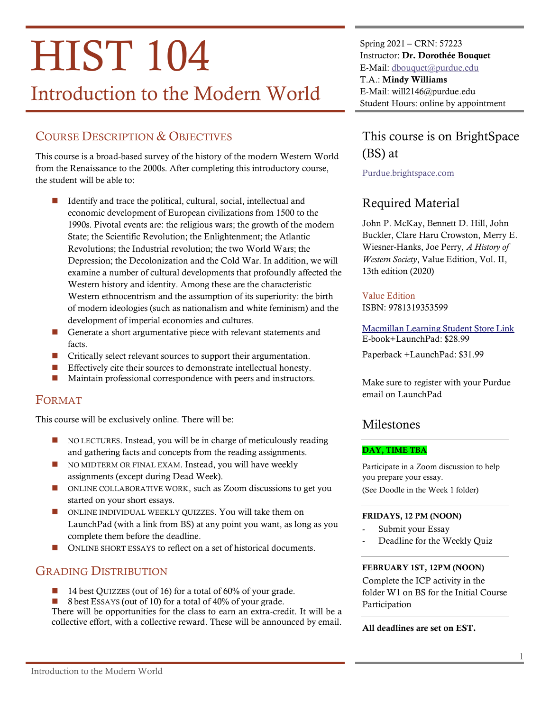# **HIST 104**

# Introduction to the Modern World

# COURSE DESCRIPTION & OBJECTIVES

This course is a broad-based survey of the history of the modern Western World from the Renaissance to the 2000s. After completing this introductory course, the student will be able to:

- Identify and trace the political, cultural, social, intellectual and economic development of European civilizations from 1500 to the 1990s. Pivotal events are: the religious wars; the growth of the modern State; the Scientific Revolution; the Enlightenment; the Atlantic Revolutions; the Industrial revolution; the two World Wars; the Depression; the Decolonization and the Cold War. In addition, we will examine a number of cultural developments that profoundly affected the Western history and identity. Among these are the characteristic Western ethnocentrism and the assumption of its superiority: the birth of modern ideologies (such as nationalism and white feminism) and the development of imperial economies and cultures.
- Generate a short argumentative piece with relevant statements and facts.
- Critically select relevant sources to support their argumentation.
- Effectively cite their sources to demonstrate intellectual honesty.
- Maintain professional correspondence with peers and instructors.

# FORMAT

This course will be exclusively online. There will be:

- NO LECTURES. Instead, you will be in charge of meticulously reading and gathering facts and concepts from the reading assignments.
- NO MIDTERM OR FINAL EXAM. Instead, you will have weekly assignments (except during Dead Week).
- ONLINE COLLABORATIVE WORK, such as Zoom discussions to get you started on your short essays.
- ONLINE INDIVIDUAL WEEKLY QUIZZES. You will take them on LaunchPad (with a link from BS) at any point you want, as long as you complete them before the deadline.
- ONLINE SHORT ESSAYS to reflect on a set of historical documents.

# GRADING DISTRIBUTION

- 14 best QUIZZES (out of 16) for a total of 60% of your grade.
- 8 best ESSAYS (out of 10) for a total of 40% of your grade.

There will be opportunities for the class to earn an extra-credit. It will be a collective effort, with a collective reward. These will be announced by email.

Spring 2021 – CRN: 57223 Instructor: Dr. Dorothée Bouquet E-Mail: [dbouquet@purdue.edu](mailto:dbouquet@purdue.edu?subject=HIST%20104) T.A.: Mindy Williams E-Mail: will2146@purdue.edu Student Hours: online by appointment

# This course is on BrightSpace (BS) at

[Purdue.brightspace.com](http://purdue.brightspace.com/)

# Required Material

John P. McKay, Bennett D. Hill, John Buckler, Clare Haru Crowston, Merry E. Wiesner-Hanks, Joe Perry, *A History of Western Society*, Value Edition, Vol. II, 13th edition (2020)

## Value Edition

ISBN: 9781319353599

[Macmillan Learning Student Store Link](https://store.macmillanlearning.com/us/product/A-History-of-Western-Society-Value-Edition-Volume-2/p/1319112463?_ga=2.54311656.1392418751.1610384333-1835683934.1559076528) E-book+LaunchPad: \$28.99

Paperback +LaunchPad: \$31.99

Make sure to register with your Purdue email on LaunchPad

# Milestones

## DAY, TIME TBA

Participate in a Zoom discussion to help you prepare your essay.

(See Doodle in the Week 1 folder)

## FRIDAYS, 12 PM (NOON)

- Submit your Essay
- Deadline for the Weekly Quiz

## FEBRUARY 1ST, 12PM (NOON)

Complete the ICP activity in the folder W1 on BS for the Initial Course Participation

## All deadlines are set on EST.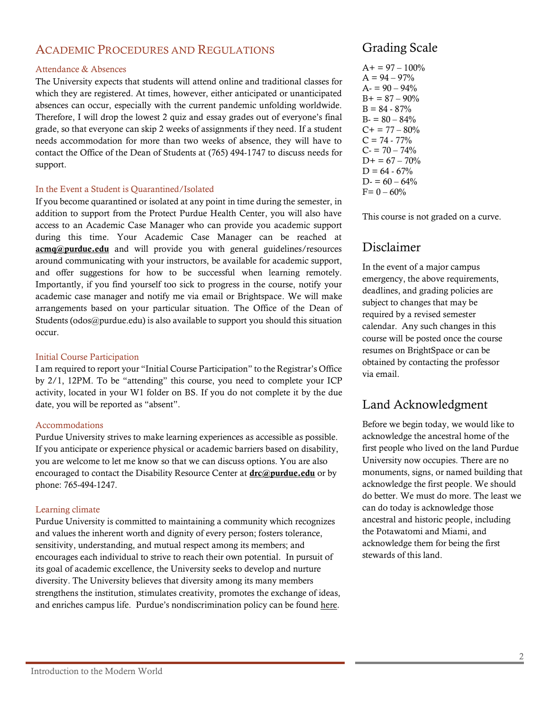# ACADEMIC PROCEDURES AND REGULATIONS

## Attendance & Absences

The University expects that students will attend online and traditional classes for which they are registered. At times, however, either anticipated or unanticipated absences can occur, especially with the current pandemic unfolding worldwide. Therefore, I will drop the lowest 2 quiz and essay grades out of everyone's final grade, so that everyone can skip 2 weeks of assignments if they need. If a student needs accommodation for more than two weeks of absence, they will have to contact the Office of the Dean of Students at (765) 494-1747 to discuss needs for support.

## In the Event a Student is Quarantined/Isolated

If you become quarantined or isolated at any point in time during the semester, in addition to support from the Protect Purdue Health Center, you will also have access to an Academic Case Manager who can provide you academic support during this time. Your Academic Case Manager can be reached at [acmq@purdue.edu](mailto:acmq@purdue.edu) and will provide you with general guidelines/resources around communicating with your instructors, be available for academic support, and offer suggestions for how to be successful when learning remotely. Importantly, if you find yourself too sick to progress in the course, notify your academic case manager and notify me via email or Brightspace. We will make arrangements based on your particular situation. The Office of the Dean of Students (odos@purdue.edu) is also available to support you should this situation occur.

## Initial Course Participation

I am required to report your "Initial Course Participation" to the Registrar's Office by 2/1, 12PM. To be "attending" this course, you need to complete your ICP activity, located in your W1 folder on BS. If you do not complete it by the due date, you will be reported as "absent".

## Accommodations

Purdue University strives to make learning experiences as accessible as possible. If you anticipate or experience physical or academic barriers based on disability, you are welcome to let me know so that we can discuss options. You are also encouraged to contact the Disability Resource Center at  $\text{drc}(\vec{a})$  purdue.edu or by phone: 765-494-1247.

## Learning climate

Purdue University is committed to maintaining a community which recognizes and values the inherent worth and dignity of every person; fosters tolerance, sensitivity, understanding, and mutual respect among its members; and encourages each individual to strive to reach their own potential. In pursuit of its goal of academic excellence, the University seeks to develop and nurture diversity. The University believes that diversity among its many members strengthens the institution, stimulates creativity, promotes the exchange of ideas, and enriches campus life. Purdue's nondiscrimination policy can be found [here.](http://www.purdue.edu/purdue/ea_eou_statement.html)

# Grading Scale

 $A+= 97 - 100\%$  $A = 94 - 97%$  $A = 90 - 94\%$  $B+=87-90%$  $B = 84 - 87\%$  $B = 80 - 84%$  $C+= 77-80%$  $C = 74 - 77\%$  $C = 70 - 74%$  $D+= 67 - 70%$  $D = 64 - 67\%$  $D = 60 - 64%$  $F= 0 - 60%$ 

This course is not graded on a curve.

# Disclaimer

In the event of a major campus emergency, the above requirements, deadlines, and grading policies are subject to changes that may be required by a revised semester calendar. Any such changes in this course will be posted once the course resumes on BrightSpace or can be obtained by contacting the professor via email.

# Land Acknowledgment

Before we begin today, we would like to acknowledge the ancestral home of the first people who lived on the land Purdue University now occupies. There are no monuments, signs, or named building that acknowledge the first people. We should do better. We must do more. The least we can do today is acknowledge those ancestral and historic people, including the Potawatomi and Miami, and acknowledge them for being the first stewards of this land.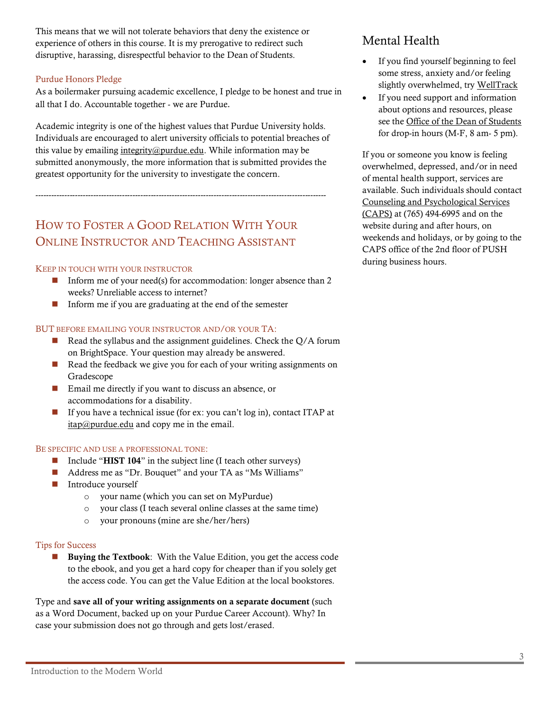This means that we will not tolerate behaviors that deny the existence or experience of others in this course. It is my prerogative to redirect such disruptive, harassing, disrespectful behavior to the Dean of Students.

## Purdue Honors Pledge

As a boilermaker pursuing academic excellence, I pledge to be honest and true in all that I do. Accountable together - we are Purdue.

Academic integrity is one of the highest values that Purdue University holds. Individuals are encouraged to alert university officials to potential breaches of this value by emailing  $integrity@purdue.edu$ . While information may be submitted anonymously, the more information that is submitted provides the greatest opportunity for the university to investigate the concern.

---------------------------------------------------------------------------------------------------------------

# HOW TO FOSTER A GOOD RELATION WITH YOUR ONLINE INSTRUCTOR AND TEACHING ASSISTANT

## KEEP IN TOUCH WITH YOUR INSTRUCTOR

- Inform me of your need(s) for accommodation: longer absence than 2 weeks? Unreliable access to internet?
- Inform me if you are graduating at the end of the semester

## BUT BEFORE EMAILING YOUR INSTRUCTOR AND/OR YOUR TA:

- $\blacksquare$  Read the syllabus and the assignment guidelines. Check the Q/A forum on BrightSpace. Your question may already be answered.
- Read the feedback we give you for each of your writing assignments on Gradescope
- Email me directly if you want to discuss an absence, or accommodations for a disability.
- If you have a technical issue (for ex: you can't log in), contact ITAP at [itap@purdue.edu](mailto:itap@purdue.edu) and copy me in the email.

### BE SPECIFIC AND USE A PROFESSIONAL TONE:

- Include "HIST 104" in the subject line (I teach other surveys)
- Address me as "Dr. Bouquet" and your TA as "Ms Williams"
- Introduce yourself
	- o your name (which you can set on MyPurdue)
	- o your class (I teach several online classes at the same time)
	- o your pronouns (mine are she/her/hers)

#### Tips for Success

■ Buying the Textbook: With the Value Edition, you get the access code to the ebook, and you get a hard copy for cheaper than if you solely get the access code. You can get the Value Edition at the local bookstores.

Type and save all of your writing assignments on a separate document (such as a Word Document, backed up on your Purdue Career Account). Why? In case your submission does not go through and gets lost/erased.

## Mental Health

- If you find yourself beginning to feel some stress, anxiety and/or feeling slightly overwhelmed, try [WellTrack](https://purdue.welltrack.com/)
- If you need support and information about options and resources, please see the [Office of the Dean of Students](http://www.purdue.edu/odos) for drop-in hours (M-F, 8 am- 5 pm).

If you or someone you know is feeling overwhelmed, depressed, and/or in need of mental health support, services are available. Such individuals should contact [Counseling and Psychological Services](http://www.purdue.edu/caps/)  [\(CAPS\)](http://www.purdue.edu/caps/) at (765) 494-6995 and on the website during and after hours, on weekends and holidays, or by going to the CAPS office of the 2nd floor of PUSH during business hours.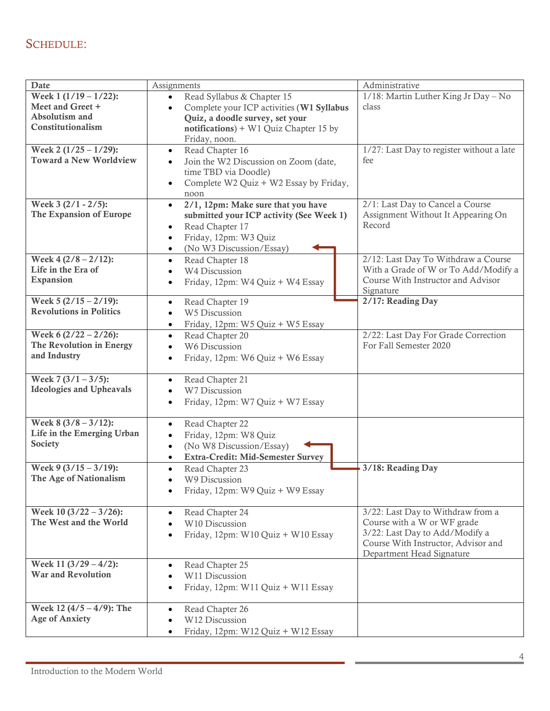# SCHEDULE:

| <b>Date</b>                                                                        | Assignments                                                                                                                                                                                                | Administrative                                                                                                                                                         |
|------------------------------------------------------------------------------------|------------------------------------------------------------------------------------------------------------------------------------------------------------------------------------------------------------|------------------------------------------------------------------------------------------------------------------------------------------------------------------------|
| Week $1(1/19 - 1/22)$ :<br>Meet and Greet +<br>Absolutism and<br>Constitutionalism | Read Syllabus & Chapter 15<br>$\bullet$<br>Complete your ICP activities (W1 Syllabus<br>$\bullet$<br>Quiz, a doodle survey, set your<br>$notifications$ + W1 Quiz Chapter 15 by<br>Friday, noon.           | 1/18: Martin Luther King Jr Day - No<br>class                                                                                                                          |
| Week 2 $(1/25 - 1/29)$ :<br><b>Toward a New Worldview</b>                          | Read Chapter 16<br>$\bullet$<br>Join the W2 Discussion on Zoom (date,<br>$\bullet$<br>time TBD via Doodle)<br>Complete W2 Quiz + W2 Essay by Friday,<br>$\bullet$<br>noon                                  | 1/27: Last Day to register without a late<br>fee                                                                                                                       |
| Week 3 (2/1 - 2/5):<br>The Expansion of Europe                                     | 2/1, 12pm: Make sure that you have<br>$\bullet$<br>submitted your ICP activity (See Week 1)<br>Read Chapter 17<br>$\bullet$<br>Friday, 12pm: W3 Quiz<br>$\bullet$<br>(No W3 Discussion/Essay)<br>$\bullet$ | 2/1: Last Day to Cancel a Course<br>Assignment Without It Appearing On<br>Record                                                                                       |
| Week $4(2/8 - 2/12)$ :<br>Life in the Era of<br><b>Expansion</b>                   | Read Chapter 18<br>$\bullet$<br>W4 Discussion<br>$\bullet$<br>Friday, 12pm: W4 Quiz + W4 Essay                                                                                                             | 2/12: Last Day To Withdraw a Course<br>With a Grade of W or To Add/Modify a<br>Course With Instructor and Advisor<br>Signature                                         |
| Week $5(2/15 - 2/19)$ :<br><b>Revolutions in Politics</b>                          | Read Chapter 19<br>$\bullet$<br>W5 Discussion<br>$\bullet$<br>Friday, 12pm: W5 Quiz + W5 Essay<br>$\bullet$                                                                                                | 2/17: Reading Day                                                                                                                                                      |
| Week $6(2/22 - 2/26)$ :<br>The Revolution in Energy<br>and Industry                | Read Chapter 20<br>$\bullet$<br>W6 Discussion<br>Friday, 12pm: W6 Quiz + W6 Essay                                                                                                                          | 2/22: Last Day For Grade Correction<br>For Fall Semester 2020                                                                                                          |
| Week $7(3/1 - 3/5)$ :<br><b>Ideologies and Upheavals</b>                           | Read Chapter 21<br>$\bullet$<br>W7 Discussion<br>Friday, 12pm: W7 Quiz + W7 Essay<br>$\bullet$                                                                                                             |                                                                                                                                                                        |
| Week $8(3/8 - 3/12)$ :<br>Life in the Emerging Urban<br>Society                    | Read Chapter 22<br>$\bullet$<br>Friday, 12pm: W8 Quiz<br>$\bullet$<br>(No W8 Discussion/Essay)<br>$\bullet$<br>Extra-Credit: Mid-Semester Survey<br>$\bullet$                                              |                                                                                                                                                                        |
| Week 9 $(3/15 - 3/19)$ :<br>The Age of Nationalism                                 | Read Chapter 23<br>$\bullet$<br>W9 Discussion<br>Friday, 12pm: W9 Quiz + W9 Essay                                                                                                                          | 3/18: Reading Day                                                                                                                                                      |
| Week $10(3/22 - 3/26)$ :<br>The West and the World                                 | Read Chapter 24<br>$\bullet$<br>W10 Discussion<br>$\bullet$<br>Friday, 12pm: W10 Quiz + W10 Essay                                                                                                          | 3/22: Last Day to Withdraw from a<br>Course with a W or WF grade<br>3/22: Last Day to Add/Modify a<br>Course With Instructor, Advisor and<br>Department Head Signature |
| Week 11 $(3/29 - 4/2)$ :<br><b>War and Revolution</b>                              | Read Chapter 25<br>$\bullet$<br>W11 Discussion<br>Friday, 12pm: W11 Quiz + W11 Essay<br>$\bullet$                                                                                                          |                                                                                                                                                                        |
| Week $12(4/5 - 4/9)$ : The<br><b>Age of Anxiety</b>                                | Read Chapter 26<br>$\bullet$<br>W12 Discussion<br>Friday, 12pm: W12 Quiz + W12 Essay<br>$\bullet$                                                                                                          |                                                                                                                                                                        |

 $\overline{\phantom{a}}$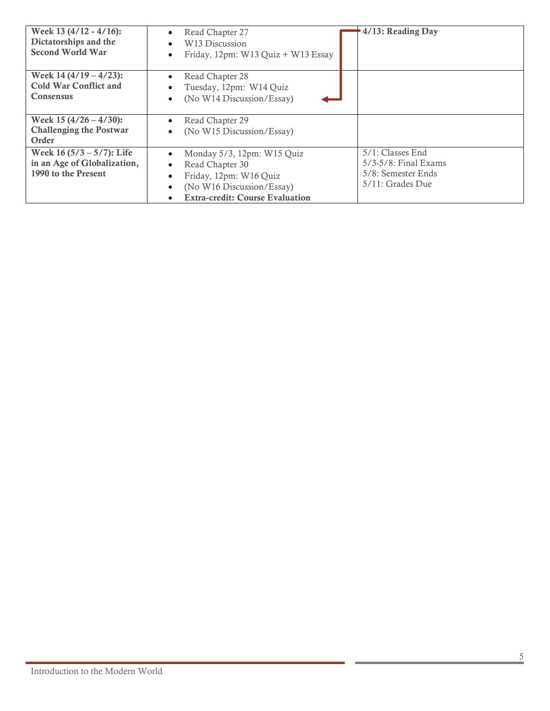| Week 13 $(4/12 - 4/16)$ :<br>Dictatorships and the<br><b>Second World War</b>     | Read Chapter 27<br>W <sub>13</sub> Discussion<br>$\bullet$<br>Friday, 12pm: W13 Quiz + W13 Essay<br>$\bullet$                                                            | 4/13: Reading Day                                                                     |
|-----------------------------------------------------------------------------------|--------------------------------------------------------------------------------------------------------------------------------------------------------------------------|---------------------------------------------------------------------------------------|
| Week $14(4/19 - 4/23)$ :<br><b>Cold War Conflict and</b><br><b>Consensus</b>      | Read Chapter 28<br>$\bullet$<br>Tuesday, 12pm: W14 Quiz<br>(No W14 Discussion/Essay)<br>$\bullet$                                                                        |                                                                                       |
| Week $15(4/26 - 4/30)$ :<br><b>Challenging the Postwar</b><br>Order               | Read Chapter 29<br>(No W15 Discussion/Essay)<br>$\bullet$                                                                                                                |                                                                                       |
| Week $16(5/3 - 5/7)$ : Life<br>in an Age of Globalization,<br>1990 to the Present | Monday 5/3, 12pm: W15 Quiz<br>$\bullet$<br>Read Chapter 30<br>$\bullet$<br>Friday, 12pm: W16 Quiz<br>(No W16 Discussion/Essay)<br><b>Extra-credit: Course Evaluation</b> | 5/1: Classes End<br>$5/3-5/8$ : Final Exams<br>5/8: Semester Ends<br>5/11: Grades Due |

÷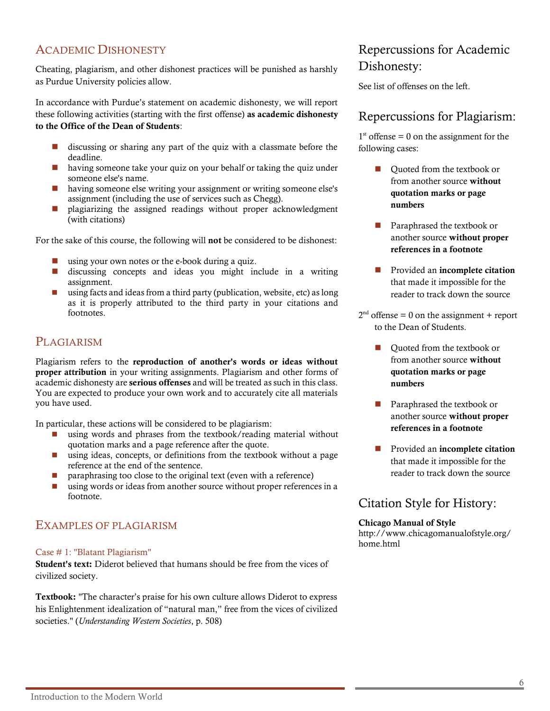# ACADEMIC DISHONESTY

Cheating, plagiarism, and other dishonest practices will be punished as harshly as Purdue University policies allow.

In accordance with Purdue's statement on academic dishonesty, we will report these following activities (starting with the first offense) as academic dishonesty to the Office of the Dean of Students:

- discussing or sharing any part of the quiz with a classmate before the deadline.
- having someone take your quiz on your behalf or taking the quiz under someone else's name.
- having someone else writing your assignment or writing someone else's assignment (including the use of services such as Chegg).
- plagiarizing the assigned readings without proper acknowledgment (with citations)

For the sake of this course, the following will not be considered to be dishonest:

- using your own notes or the e-book during a quiz.
- discussing concepts and ideas you might include in a writing assignment.
- $\Box$  using facts and ideas from a third party (publication, website, etc) as long as it is properly attributed to the third party in your citations and footnotes.

# **PLAGIARISM**

Plagiarism refers to the reproduction of another's words or ideas without proper attribution in your writing assignments. Plagiarism and other forms of academic dishonesty are serious offenses and will be treated as such in this class. You are expected to produce your own work and to accurately cite all materials you have used.

In particular, these actions will be considered to be plagiarism:

- using words and phrases from the textbook/reading material without quotation marks and a page reference after the quote.
- using ideas, concepts, or definitions from the textbook without a page reference at the end of the sentence.
- paraphrasing too close to the original text (even with a reference)
- using words or ideas from another source without proper references in a footnote.

# EXAMPLES OF PLAGIARISM

## Case # 1: "Blatant Plagiarism"

Student's text: Diderot believed that humans should be free from the vices of civilized society.

Textbook: "The character's praise for his own culture allows Diderot to express his Enlightenment idealization of "natural man," free from the vices of civilized societies." (*Understanding Western Societies*, p. 508)

# Repercussions for Academic Dishonesty:

See list of offenses on the left.

## Repercussions for Plagiarism:

 $1<sup>st</sup>$  offense = 0 on the assignment for the following cases:

- Ouoted from the textbook or from another source without quotation marks or page numbers
- Paraphrased the textbook or another source without proper references in a footnote
- Provided an incomplete citation that made it impossible for the reader to track down the source
- $2<sup>nd</sup>$  offense = 0 on the assignment + report to the Dean of Students.
	- Ouoted from the textbook or from another source without quotation marks or page numbers
	- Paraphrased the textbook or another source without proper references in a footnote
	- Provided an incomplete citation that made it impossible for the reader to track down the source

# Citation Style for History:

## Chicago Manual of Style

http://www.chicagomanualofstyle.org/ home.html